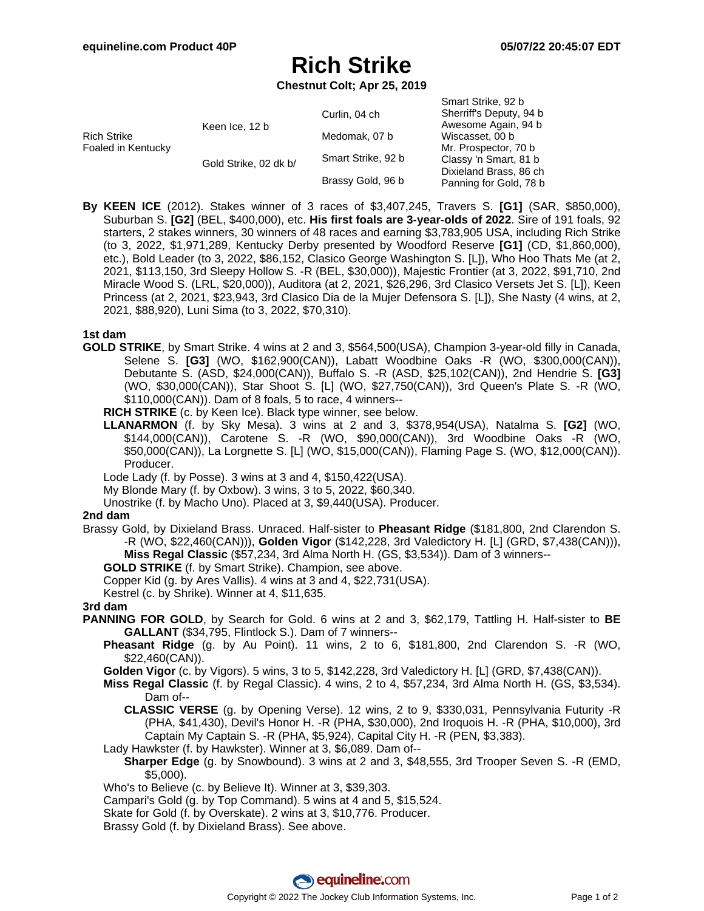Smart Strike, 02 b

# **Rich Strike**

**Chestnut Colt; Apr 25, 2019**

|                                          |                       |                    | UIIIIU UUING. JA D<br>Sherriff's Deputy, 94 b    |
|------------------------------------------|-----------------------|--------------------|--------------------------------------------------|
| <b>Rich Strike</b><br>Foaled in Kentucky | Keen Ice, 12 b        | Curlin, 04 ch      | Awesome Again, 94 b                              |
|                                          |                       | Medomak, 07 b      | Wiscasset, 00 b                                  |
|                                          | Gold Strike, 02 dk b/ | Smart Strike, 92 b | Mr. Prospector, 70 b                             |
|                                          |                       |                    | Classy 'n Smart, 81 b                            |
|                                          |                       | Brassy Gold, 96 b  | Dixieland Brass, 86 ch<br>Panning for Gold, 78 b |

**By KEEN ICE** (2012). Stakes winner of 3 races of \$3,407,245, Travers S. **[G1]** (SAR, \$850,000), Suburban S. **[G2]** (BEL, \$400,000), etc. **His first foals are 3-year-olds of 2022**. Sire of 191 foals, 92 starters, 2 stakes winners, 30 winners of 48 races and earning \$3,783,905 USA, including Rich Strike (to 3, 2022, \$1,971,289, Kentucky Derby presented by Woodford Reserve **[G1]** (CD, \$1,860,000), etc.), Bold Leader (to 3, 2022, \$86,152, Clasico George Washington S. [L]), Who Hoo Thats Me (at 2, 2021, \$113,150, 3rd Sleepy Hollow S. -R (BEL, \$30,000)), Majestic Frontier (at 3, 2022, \$91,710, 2nd Miracle Wood S. (LRL, \$20,000)), Auditora (at 2, 2021, \$26,296, 3rd Clasico Versets Jet S. [L]), Keen Princess (at 2, 2021, \$23,943, 3rd Clasico Dia de la Mujer Defensora S. [L]), She Nasty (4 wins, at 2, 2021, \$88,920), Luni Sima (to 3, 2022, \$70,310).

### **1st dam**

**GOLD STRIKE**, by Smart Strike. 4 wins at 2 and 3, \$564,500(USA), Champion 3-year-old filly in Canada, Selene S. **[G3]** (WO, \$162,900(CAN)), Labatt Woodbine Oaks -R (WO, \$300,000(CAN)), Debutante S. (ASD, \$24,000(CAN)), Buffalo S. -R (ASD, \$25,102(CAN)), 2nd Hendrie S. **[G3]** (WO, \$30,000(CAN)), Star Shoot S. [L] (WO, \$27,750(CAN)), 3rd Queen's Plate S. -R (WO, \$110,000(CAN)). Dam of 8 foals, 5 to race, 4 winners--

**RICH STRIKE** (c. by Keen Ice). Black type winner, see below.

**LLANARMON** (f. by Sky Mesa). 3 wins at 2 and 3, \$378,954(USA), Natalma S. **[G2]** (WO, \$144,000(CAN)), Carotene S. -R (WO, \$90,000(CAN)), 3rd Woodbine Oaks -R (WO, \$50,000(CAN)), La Lorgnette S. [L] (WO, \$15,000(CAN)), Flaming Page S. (WO, \$12,000(CAN)). Producer.

Lode Lady (f. by Posse). 3 wins at 3 and 4, \$150,422(USA).

My Blonde Mary (f. by Oxbow). 3 wins, 3 to 5, 2022, \$60,340.

Unostrike (f. by Macho Uno). Placed at 3, \$9,440(USA). Producer.

### **2nd dam**

Brassy Gold, by Dixieland Brass. Unraced. Half-sister to **Pheasant Ridge** (\$181,800, 2nd Clarendon S. -R (WO, \$22,460(CAN))), **Golden Vigor** (\$142,228, 3rd Valedictory H. [L] (GRD, \$7,438(CAN))), **Miss Regal Classic** (\$57,234, 3rd Alma North H. (GS, \$3,534)). Dam of 3 winners--

**GOLD STRIKE** (f. by Smart Strike). Champion, see above.

Copper Kid (g. by Ares Vallis). 4 wins at 3 and 4, \$22,731(USA).

Kestrel (c. by Shrike). Winner at 4, \$11,635.

#### **3rd dam**

- **PANNING FOR GOLD**, by Search for Gold. 6 wins at 2 and 3, \$62,179, Tattling H. Half-sister to **BE GALLANT** (\$34,795, Flintlock S.). Dam of 7 winners--
	- **Pheasant Ridge** (g. by Au Point). 11 wins, 2 to 6, \$181,800, 2nd Clarendon S. -R (WO, \$22,460(CAN)).

**Golden Vigor** (c. by Vigors). 5 wins, 3 to 5, \$142,228, 3rd Valedictory H. [L] (GRD, \$7,438(CAN)).

- **Miss Regal Classic** (f. by Regal Classic). 4 wins, 2 to 4, \$57,234, 3rd Alma North H. (GS, \$3,534). Dam of--
	- **CLASSIC VERSE** (g. by Opening Verse). 12 wins, 2 to 9, \$330,031, Pennsylvania Futurity -R (PHA, \$41,430), Devil's Honor H. -R (PHA, \$30,000), 2nd Iroquois H. -R (PHA, \$10,000), 3rd Captain My Captain S. -R (PHA, \$5,924), Capital City H. -R (PEN, \$3,383).
- Lady Hawkster (f. by Hawkster). Winner at 3, \$6,089. Dam of--
	- **Sharper Edge** (g. by Snowbound). 3 wins at 2 and 3, \$48,555, 3rd Trooper Seven S. -R (EMD, \$5,000).

Who's to Believe (c. by Believe It). Winner at 3, \$39,303.

Campari's Gold (g. by Top Command). 5 wins at 4 and 5, \$15,524.

- Skate for Gold (f. by Overskate). 2 wins at 3, \$10,776. Producer.
- Brassy Gold (f. by Dixieland Brass). See above.